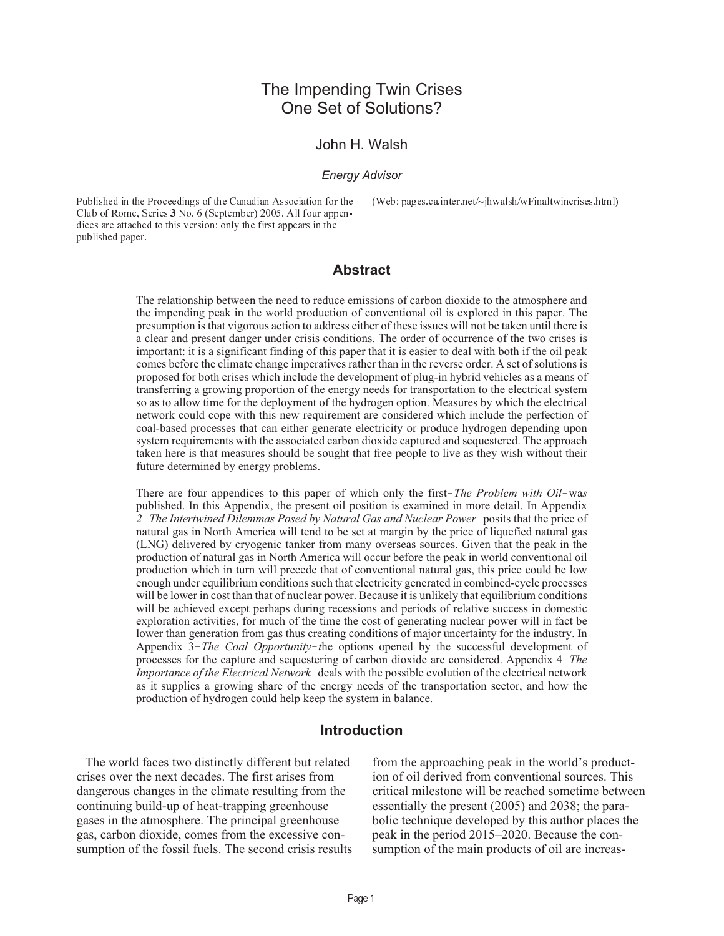# The Impending Twin Crises One Set of Solutions?

#### John H. Walsh

#### *Energy Advisor*

Published in the Proceedings of the Canadian Association for the Club of Rome, Series 3 No. 6 (September) 2005. All four appendices are attached to this version: only the first appears in the published paper.

(Web: pages.ca.inter.net/~jhwalsh/wFinaltwincrises.html)

#### **Abstract**

The relationship between the need to reduce emissions of carbon dioxide to the atmosphere and the impending peak in the world production of conventional oil is explored in this paper. The presumption is that vigorous action to address either of these issues will not be taken until there is a clear and present danger under crisis conditions. The order of occurrence of the two crises is important: it is a significant finding of this paper that it is easier to deal with both if the oil peak comes before the climate change imperatives rather than in the reverse order. A set of solutions is proposed for both crises which include the development of plug-in hybrid vehicles as a means of transferring a growing proportion of the energy needs for transportation to the electrical system so as to allow time for the deployment of the hydrogen option. Measures by which the electrical network could cope with this new requirement are considered which include the perfection of coal-based processes that can either generate electricity or produce hydrogen depending upon system requirements with the associated carbon dioxide captured and sequestered. The approach taken here is that measures should be sought that free people to live as they wish without their future determined by energy problems. so as to allow time for the deployment of the hydrogen option. Measures by which the electrical<br>network could cope with this new requirement are considered which include the perfection of<br>coal-based processes that can eith *2*<sup>*The Intertwined Dilemmas Posed by Natural Gas and Nuclear Power-posits that the price of The approach taken here is that measures should be sought that free people to live as they wish without their future determined </sup>* 

published. In this Appendix, the present oil position is examined in more detail. In Appendix 2–The Intertwined Dilemmas Posed by Natural Gas and Nuclear Power-posits that the price of natural gas in North America will tend to be set at margin by the price of liquefied natural gas (LNG) delivered by cryogenic tanker from many overseas sources. Given that the peak in the production of natural gas in North America will occur before the peak in world conventional oil production which in turn will precede that of conventional natural gas, this price could be low<br>enough under equilibrium condi production which in turn will precede that of conventional natural gas, this price could be low enough under equilibrium conditions such that electricity generated in combined-cycle processes will be lower in cost than that of nuclear power. Because it is unlikely that equilibrium conditions will be achieved except perhaps during recessions and periods of relative success in domestic exploration activities, for much of the time the cost of generating nuclear power will in fact be lower than generation from gas thus creating conditions of major uncertainty for the industry. In production which in turn will precede that of conventional natural gas, this price could be low<br>enough under equilibrium conditions such that electricity generated in combined-cycle processes<br>will be lower in cost than tha enough under equilibrium conditions such that electricity generated in combined-cycle processes<br>will be lower in cost than that of nuclear power. Because it is unlikely that equilibrium conditions<br>will be achieved except p as it supplies a growing share of the energy needs of the transportation sector, and how the production of hydrogen could help keep the system in balance.

#### **Introduction**

The world faces two distinctly different but related crises over the next decades. The first arises from dangerous changes in the climate resulting from the continuing build-up of heat-trapping greenhouse gases in the atmosphere. The principal greenhouse gas, carbon dioxide, comes from the excessive consumption of the fossil fuels. The second crisis results from the approaching peak in the world's production of oil derived from conventional sources. This critical milestone will be reached sometime between essentially the present (2005) and 2038; the parabolic technique developed by this author places the peak in the period 2015–2020. Because the consumption of the main products of oil are increas-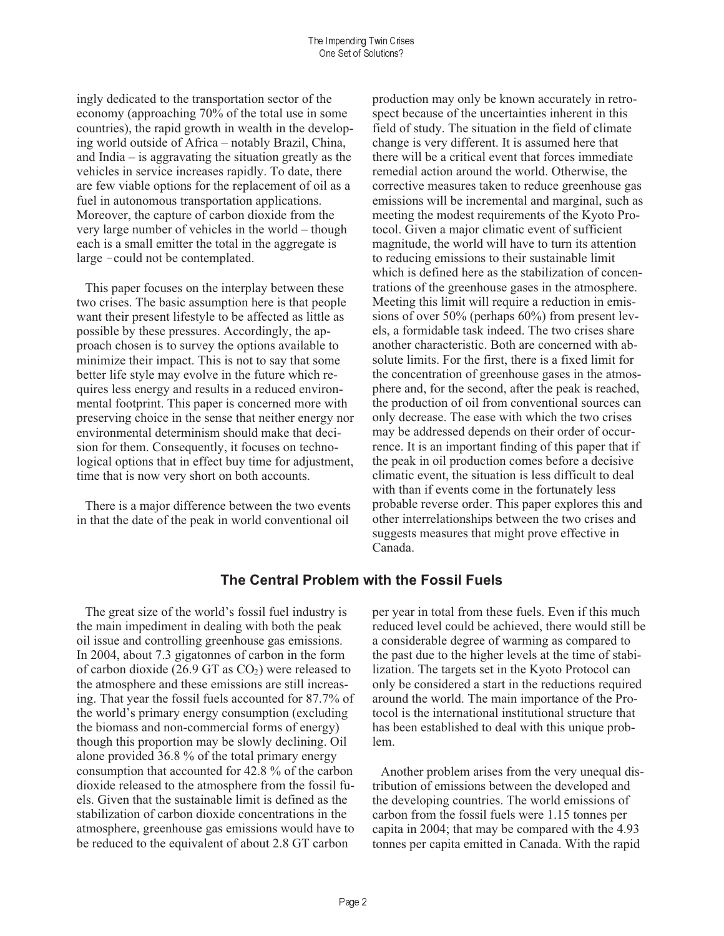ingly dedicated to the transportation sector of the economy (approaching 70% of the total use in some countries), the rapid growth in wealth in the developing world outside of Africa – notably Brazil, China, and India  $-$  is aggravating the situation greatly as the vehicles in service increases rapidly. To date, there are few viable options for the replacement of oil as a fuel in autonomous transportation applications. Moreover, the capture of carbon dioxide from the very large number of vehicles in the world – though each is a small emitter the total in the aggregate is large - could not be contemplated.

This paper focuses on the interplay between these two crises. The basic assumption here is that people want their present lifestyle to be affected as little as possible by these pressures. Accordingly, the approach chosen is to survey the options available to minimize their impact. This is not to say that some better life style may evolve in the future which requires less energy and results in a reduced environmental footprint. This paper is concerned more with preserving choice in the sense that neither energy nor environmental determinism should make that decision for them. Consequently, it focuses on technological options that in effect buy time for adjustment, time that is now very short on both accounts.

There is a major difference between the two events in that the date of the peak in world conventional oil

production may only be known accurately in retrospect because of the uncertainties inherent in this field of study. The situation in the field of climate change is very different. It is assumed here that there will be a critical event that forces immediate remedial action around the world. Otherwise, the corrective measures taken to reduce greenhouse gas emissions will be incremental and marginal, such as meeting the modest requirements of the Kyoto Protocol. Given a major climatic event of sufficient magnitude, the world will have to turn its attention to reducing emissions to their sustainable limit which is defined here as the stabilization of concentrations of the greenhouse gases in the atmosphere. Meeting this limit will require a reduction in emissions of over  $50\%$  (perhaps  $60\%$ ) from present levels, a formidable task indeed. The two crises share another characteristic. Both are concerned with absolute limits. For the first, there is a fixed limit for the concentration of greenhouse gases in the atmosphere and, for the second, after the peak is reached, the production of oil from conventional sources can only decrease. The ease with which the two crises may be addressed depends on their order of occurrence. It is an important finding of this paper that if the peak in oil production comes before a decisive climatic event, the situation is less difficult to deal with than if events come in the fortunately less probable reverse order. This paper explores this and other interrelationships between the two crises and suggests measures that might prove effective in Canada.

## The Central Problem with the Fossil Fuels

The great size of the world's fossil fuel industry is the main impediment in dealing with both the peak oil issue and controlling greenhouse gas emissions. In 2004, about 7.3 gigatonnes of carbon in the form of carbon dioxide (26.9 GT as  $CO<sub>2</sub>$ ) were released to the atmosphere and these emissions are still increasing. That year the fossil fuels accounted for 87.7% of the world's primary energy consumption (excluding) the biomass and non-commercial forms of energy) though this proportion may be slowly declining. Oil alone provided 36.8 % of the total primary energy consumption that accounted for 42.8 % of the carbon dioxide released to the atmosphere from the fossil fuels. Given that the sustainable limit is defined as the stabilization of carbon dioxide concentrations in the atmosphere, greenhouse gas emissions would have to be reduced to the equivalent of about 2.8 GT carbon

per year in total from these fuels. Even if this much reduced level could be achieved, there would still be a considerable degree of warming as compared to the past due to the higher levels at the time of stabilization. The targets set in the Kyoto Protocol can only be considered a start in the reductions required around the world. The main importance of the Protocol is the international institutional structure that has been established to deal with this unique problem.

Another problem arises from the very unequal distribution of emissions between the developed and the developing countries. The world emissions of carbon from the fossil fuels were 1.15 tonnes per capita in 2004; that may be compared with the 4.93 tonnes per capita emitted in Canada. With the rapid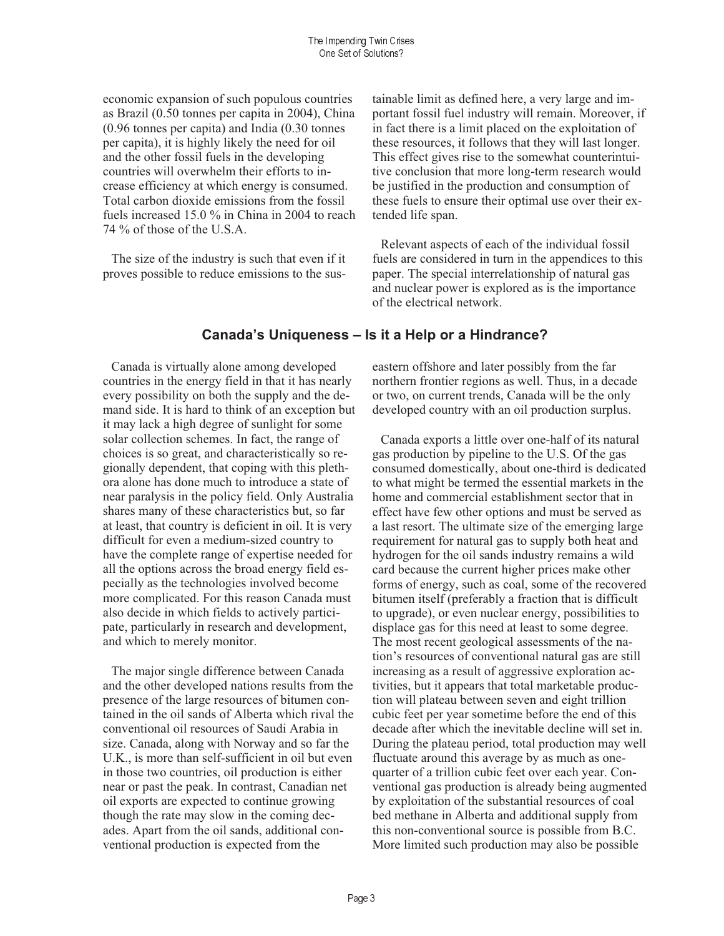economic expansion of such populous countries as Brazil (0.50 tonnes per capita in 2004), China  $(0.96$  tonnes per capita) and India  $(0.30)$  tonnes per capita), it is highly likely the need for oil and the other fossil fuels in the developing countries will overwhelm their efforts to increase efficiency at which energy is consumed. Total carbon dioxide emissions from the fossil fuels increased 15.0 % in China in 2004 to reach 74 % of those of the U.S.A.

The size of the industry is such that even if it proves possible to reduce emissions to the sustainable limit as defined here, a very large and important fossil fuel industry will remain. Moreover, if in fact there is a limit placed on the exploitation of these resources, it follows that they will last longer. This effect gives rise to the somewhat counterintuitive conclusion that more long-term research would be justified in the production and consumption of these fuels to ensure their optimal use over their extended life span.

Relevant aspects of each of the individual fossil fuels are considered in turn in the appendices to this paper. The special interrelationship of natural gas and nuclear power is explored as is the importance of the electrical network.

## Canada's Uniqueness - Is it a Help or a Hindrance?

Canada is virtually alone among developed countries in the energy field in that it has nearly every possibility on both the supply and the demand side. It is hard to think of an exception but it may lack a high degree of sunlight for some solar collection schemes. In fact, the range of choices is so great, and characteristically so regionally dependent, that coping with this plethora alone has done much to introduce a state of near paralysis in the policy field. Only Australia shares many of these characteristics but, so far at least, that country is deficient in oil. It is very difficult for even a medium-sized country to have the complete range of expertise needed for all the options across the broad energy field especially as the technologies involved become more complicated. For this reason Canada must also decide in which fields to actively participate, particularly in research and development, and which to merely monitor.

The major single difference between Canada and the other developed nations results from the presence of the large resources of bitumen contained in the oil sands of Alberta which rival the conventional oil resources of Saudi Arabia in size. Canada, along with Norway and so far the U.K., is more than self-sufficient in oil but even in those two countries, oil production is either near or past the peak. In contrast, Canadian net oil exports are expected to continue growing though the rate may slow in the coming decades. Apart from the oil sands, additional conventional production is expected from the

eastern offshore and later possibly from the far northern frontier regions as well. Thus, in a decade or two, on current trends, Canada will be the only developed country with an oil production surplus.

Canada exports a little over one-half of its natural gas production by pipeline to the U.S. Of the gas consumed domestically, about one-third is dedicated to what might be termed the essential markets in the home and commercial establishment sector that in effect have few other options and must be served as a last resort. The ultimate size of the emerging large requirement for natural gas to supply both heat and hydrogen for the oil sands industry remains a wild card because the current higher prices make other forms of energy, such as coal, some of the recovered bitumen itself (preferably a fraction that is difficult to upgrade), or even nuclear energy, possibilities to displace gas for this need at least to some degree. The most recent geological assessments of the nation's resources of conventional natural gas are still increasing as a result of aggressive exploration activities, but it appears that total marketable production will plateau between seven and eight trillion cubic feet per year sometime before the end of this decade after which the inevitable decline will set in. During the plateau period, total production may well fluctuate around this average by as much as onequarter of a trillion cubic feet over each year. Conventional gas production is already being augmented by exploitation of the substantial resources of coal bed methane in Alberta and additional supply from this non-conventional source is possible from B.C. More limited such production may also be possible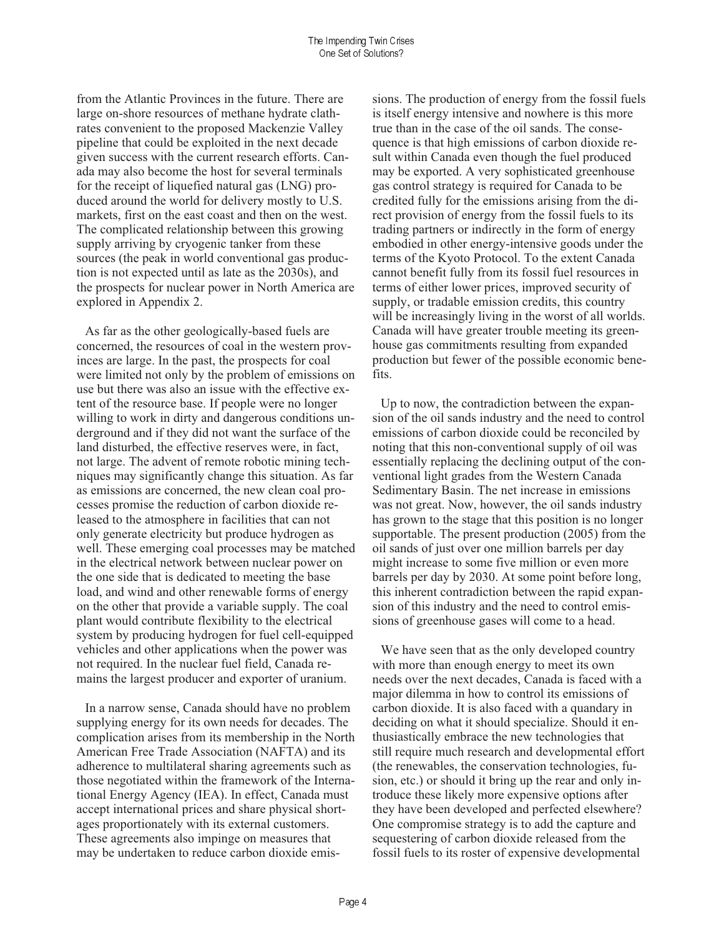from the Atlantic Provinces in the future. There are large on-shore resources of methane hydrate clathrates convenient to the proposed Mackenzie Valley pipeline that could be exploited in the next decade given success with the current research efforts. Canada may also become the host for several terminals for the receipt of liquefied natural gas (LNG) produced around the world for delivery mostly to U.S. markets, first on the east coast and then on the west. The complicated relationship between this growing supply arriving by cryogenic tanker from these sources (the peak in world conventional gas production is not expected until as late as the 2030s), and the prospects for nuclear power in North America are explored in Appendix 2.

As far as the other geologically-based fuels are concerned, the resources of coal in the western provinces are large. In the past, the prospects for coal were limited not only by the problem of emissions on use but there was also an issue with the effective extent of the resource base. If people were no longer willing to work in dirty and dangerous conditions underground and if they did not want the surface of the land disturbed, the effective reserves were, in fact, not large. The advent of remote robotic mining techniques may significantly change this situation. As far as emissions are concerned, the new clean coal processes promise the reduction of carbon dioxide released to the atmosphere in facilities that can not only generate electricity but produce hydrogen as well. These emerging coal processes may be matched in the electrical network between nuclear power on the one side that is dedicated to meeting the base load, and wind and other renewable forms of energy on the other that provide a variable supply. The coal plant would contribute flexibility to the electrical system by producing hydrogen for fuel cell-equipped vehicles and other applications when the power was not required. In the nuclear fuel field, Canada remains the largest producer and exporter of uranium.

In a narrow sense, Canada should have no problem supplying energy for its own needs for decades. The complication arises from its membership in the North American Free Trade Association (NAFTA) and its adherence to multilateral sharing agreements such as those negotiated within the framework of the International Energy Agency (IEA). In effect, Canada must accept international prices and share physical shortages proportionately with its external customers. These agreements also impinge on measures that may be undertaken to reduce carbon dioxide emissions. The production of energy from the fossil fuels is itself energy intensive and nowhere is this more true than in the case of the oil sands. The consequence is that high emissions of carbon dioxide result within Canada even though the fuel produced may be exported. A very sophisticated greenhouse gas control strategy is required for Canada to be credited fully for the emissions arising from the direct provision of energy from the fossil fuels to its trading partners or indirectly in the form of energy embodied in other energy-intensive goods under the terms of the Kyoto Protocol. To the extent Canada cannot benefit fully from its fossil fuel resources in terms of either lower prices, improved security of supply, or tradable emission credits, this country will be increasingly living in the worst of all worlds. Canada will have greater trouble meeting its greenhouse gas commitments resulting from expanded production but fewer of the possible economic benefits.

Up to now, the contradiction between the expansion of the oil sands industry and the need to control emissions of carbon dioxide could be reconciled by noting that this non-conventional supply of oil was essentially replacing the declining output of the conventional light grades from the Western Canada Sedimentary Basin. The net increase in emissions was not great. Now, however, the oil sands industry has grown to the stage that this position is no longer supportable. The present production (2005) from the oil sands of just over one million barrels per day might increase to some five million or even more barrels per day by 2030. At some point before long, this inherent contradiction between the rapid expansion of this industry and the need to control emissions of greenhouse gases will come to a head.

We have seen that as the only developed country with more than enough energy to meet its own needs over the next decades, Canada is faced with a major dilemma in how to control its emissions of carbon dioxide. It is also faced with a quandary in deciding on what it should specialize. Should it enthusiastically embrace the new technologies that still require much research and developmental effort (the renewables, the conservation technologies, fusion, etc.) or should it bring up the rear and only introduce these likely more expensive options after they have been developed and perfected elsewhere? One compromise strategy is to add the capture and sequestering of carbon dioxide released from the fossil fuels to its roster of expensive developmental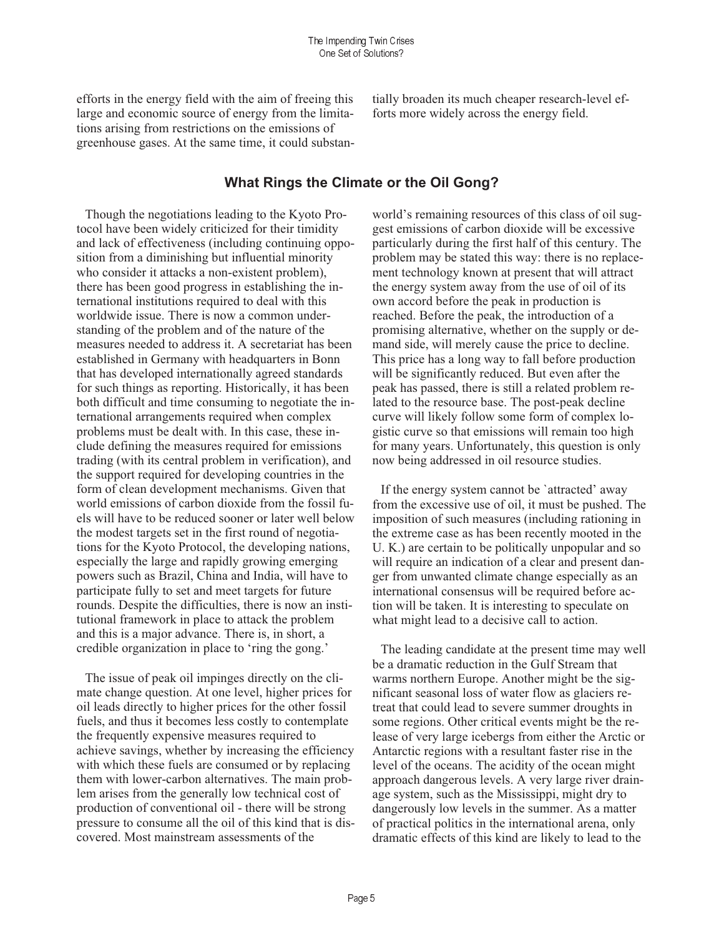efforts in the energy field with the aim of freeing this large and economic source of energy from the limitations arising from restrictions on the emissions of greenhouse gases. At the same time, it could substantially broaden its much cheaper research-level efforts more widely across the energy field.

### What Rings the Climate or the Oil Gong?

Though the negotiations leading to the Kyoto Protocol have been widely criticized for their timidity and lack of effectiveness (including continuing opposition from a diminishing but influential minority who consider it attacks a non-existent problem), there has been good progress in establishing the international institutions required to deal with this worldwide issue. There is now a common understanding of the problem and of the nature of the measures needed to address it. A secretariat has been established in Germany with headquarters in Bonn that has developed internationally agreed standards for such things as reporting. Historically, it has been both difficult and time consuming to negotiate the international arrangements required when complex problems must be dealt with. In this case, these include defining the measures required for emissions trading (with its central problem in verification), and the support required for developing countries in the form of clean development mechanisms. Given that world emissions of carbon dioxide from the fossil fuels will have to be reduced sooner or later well below the modest targets set in the first round of negotiations for the Kyoto Protocol, the developing nations, especially the large and rapidly growing emerging powers such as Brazil, China and India, will have to participate fully to set and meet targets for future rounds. Despite the difficulties, there is now an institutional framework in place to attack the problem and this is a major advance. There is, in short, a credible organization in place to 'ring the gong.'

The issue of peak oil impinges directly on the climate change question. At one level, higher prices for oil leads directly to higher prices for the other fossil fuels, and thus it becomes less costly to contemplate the frequently expensive measures required to achieve savings, whether by increasing the efficiency with which these fuels are consumed or by replacing them with lower-carbon alternatives. The main problem arises from the generally low technical cost of production of conventional oil - there will be strong pressure to consume all the oil of this kind that is discovered. Most mainstream assessments of the

world's remaining resources of this class of oil suggest emissions of carbon dioxide will be excessive particularly during the first half of this century. The problem may be stated this way: there is no replacement technology known at present that will attract the energy system away from the use of oil of its own accord before the peak in production is reached. Before the peak, the introduction of a promising alternative, whether on the supply or demand side, will merely cause the price to decline. This price has a long way to fall before production will be significantly reduced. But even after the peak has passed, there is still a related problem related to the resource base. The post-peak decline curve will likely follow some form of complex logistic curve so that emissions will remain too high for many years. Unfortunately, this question is only now being addressed in oil resource studies.

If the energy system cannot be 'attracted' away from the excessive use of oil, it must be pushed. The imposition of such measures (including rationing in the extreme case as has been recently mooted in the U. K.) are certain to be politically unpopular and so will require an indication of a clear and present danger from unwanted climate change especially as an international consensus will be required before action will be taken. It is interesting to speculate on what might lead to a decisive call to action.

The leading candidate at the present time may well be a dramatic reduction in the Gulf Stream that warms northern Europe. Another might be the significant seasonal loss of water flow as glaciers retreat that could lead to severe summer droughts in some regions. Other critical events might be the release of very large icebergs from either the Arctic or Antarctic regions with a resultant faster rise in the level of the oceans. The acidity of the ocean might approach dangerous levels. A very large river drainage system, such as the Mississippi, might dry to dangerously low levels in the summer. As a matter of practical politics in the international arena, only dramatic effects of this kind are likely to lead to the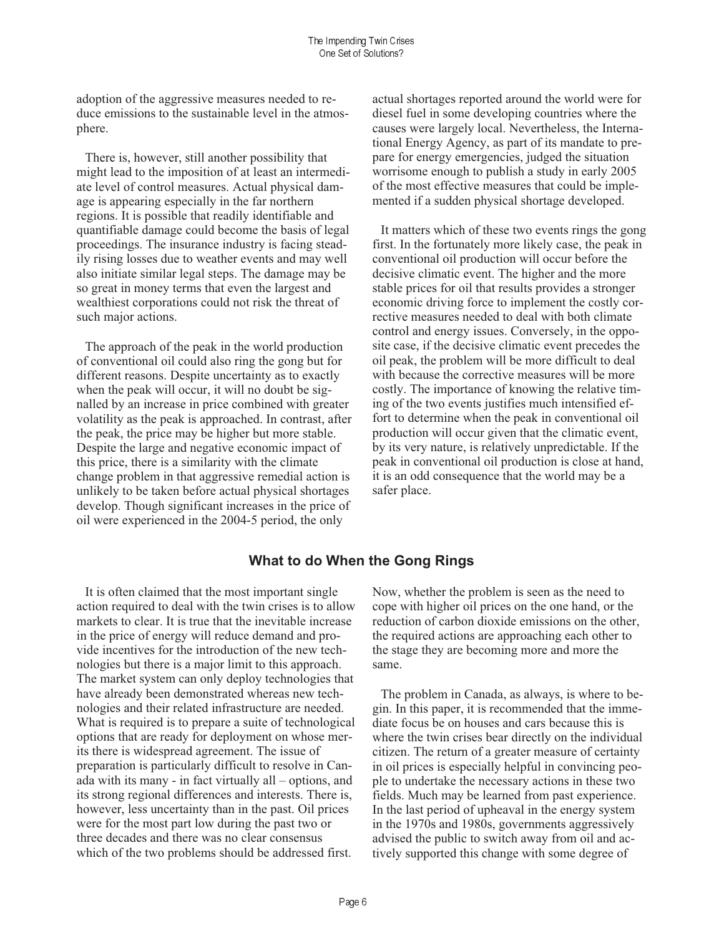adoption of the aggressive measures needed to reduce emissions to the sustainable level in the atmosphere.

There is, however, still another possibility that might lead to the imposition of at least an intermediate level of control measures. Actual physical damage is appearing especially in the far northern regions. It is possible that readily identifiable and quantifiable damage could become the basis of legal proceedings. The insurance industry is facing steadily rising losses due to weather events and may well also initiate similar legal steps. The damage may be so great in money terms that even the largest and wealthiest corporations could not risk the threat of such major actions.

The approach of the peak in the world production of conventional oil could also ring the gong but for different reasons. Despite uncertainty as to exactly when the peak will occur, it will no doubt be signalled by an increase in price combined with greater volatility as the peak is approached. In contrast, after the peak, the price may be higher but more stable. Despite the large and negative economic impact of this price, there is a similarity with the climate change problem in that aggressive remedial action is unlikely to be taken before actual physical shortages develop. Though significant increases in the price of oil were experienced in the 2004-5 period, the only

actual shortages reported around the world were for diesel fuel in some developing countries where the causes were largely local. Nevertheless, the International Energy Agency, as part of its mandate to prepare for energy emergencies, judged the situation worrisome enough to publish a study in early 2005 of the most effective measures that could be implemented if a sudden physical shortage developed.

It matters which of these two events rings the gong first. In the fortunately more likely case, the peak in conventional oil production will occur before the decisive climatic event. The higher and the more stable prices for oil that results provides a stronger economic driving force to implement the costly corrective measures needed to deal with both climate control and energy issues. Conversely, in the opposite case, if the decisive climatic event precedes the oil peak, the problem will be more difficult to deal with because the corrective measures will be more costly. The importance of knowing the relative timing of the two events justifies much intensified effort to determine when the peak in conventional oil production will occur given that the climatic event, by its very nature, is relatively unpredictable. If the peak in conventional oil production is close at hand, it is an odd consequence that the world may be a safer place.

## What to do When the Gong Rings

It is often claimed that the most important single action required to deal with the twin crises is to allow markets to clear. It is true that the inevitable increase in the price of energy will reduce demand and provide incentives for the introduction of the new technologies but there is a major limit to this approach. The market system can only deploy technologies that have already been demonstrated whereas new technologies and their related infrastructure are needed. What is required is to prepare a suite of technological options that are ready for deployment on whose merits there is widespread agreement. The issue of preparation is particularly difficult to resolve in Canada with its many - in fact virtually all – options, and its strong regional differences and interests. There is, however, less uncertainty than in the past. Oil prices were for the most part low during the past two or three decades and there was no clear consensus which of the two problems should be addressed first.

Now, whether the problem is seen as the need to cope with higher oil prices on the one hand, or the reduction of carbon dioxide emissions on the other, the required actions are approaching each other to the stage they are becoming more and more the same.

The problem in Canada, as always, is where to begin. In this paper, it is recommended that the immediate focus be on houses and cars because this is where the twin crises bear directly on the individual citizen. The return of a greater measure of certainty in oil prices is especially helpful in convincing people to undertake the necessary actions in these two fields. Much may be learned from past experience. In the last period of upheaval in the energy system in the 1970s and 1980s, governments aggressively advised the public to switch away from oil and actively supported this change with some degree of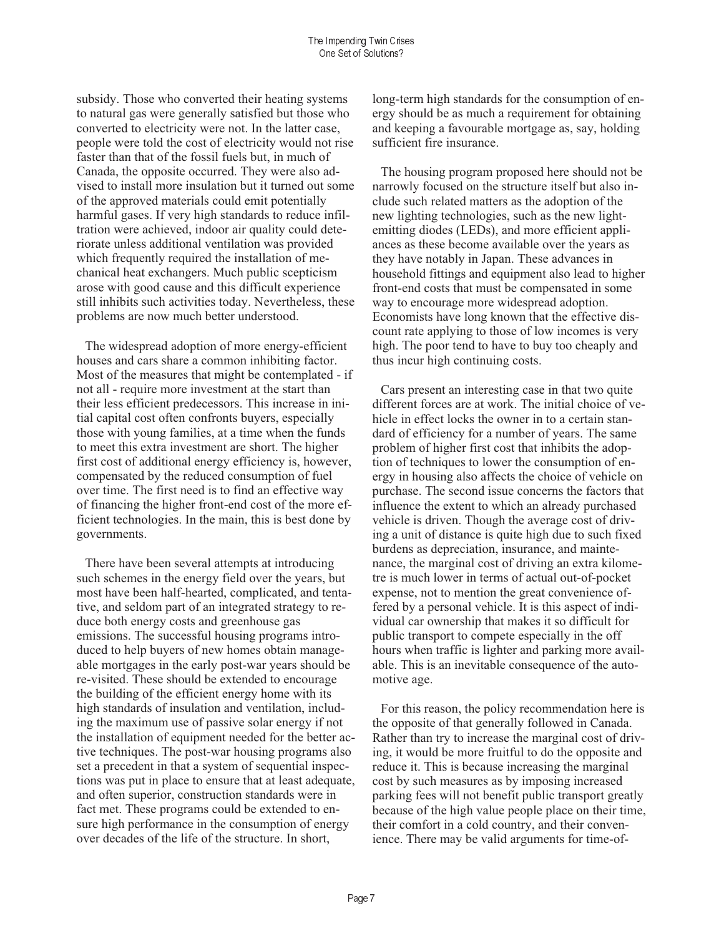subsidy. Those who converted their heating systems to natural gas were generally satisfied but those who converted to electricity were not. In the latter case, people were told the cost of electricity would not rise faster than that of the fossil fuels but, in much of Canada, the opposite occurred. They were also advised to install more insulation but it turned out some of the approved materials could emit potentially harmful gases. If very high standards to reduce infiltration were achieved, indoor air quality could deteriorate unless additional ventilation was provided which frequently required the installation of mechanical heat exchangers. Much public scepticism arose with good cause and this difficult experience still inhibits such activities today. Nevertheless, these problems are now much better understood.

The widespread adoption of more energy-efficient houses and cars share a common inhibiting factor. Most of the measures that might be contemplated - if not all - require more investment at the start than their less efficient predecessors. This increase in initial capital cost often confronts buyers, especially those with young families, at a time when the funds to meet this extra investment are short. The higher first cost of additional energy efficiency is, however, compensated by the reduced consumption of fuel over time. The first need is to find an effective way of financing the higher front-end cost of the more efficient technologies. In the main, this is best done by governments.

There have been several attempts at introducing such schemes in the energy field over the years, but most have been half-hearted, complicated, and tentative, and seldom part of an integrated strategy to reduce both energy costs and greenhouse gas emissions. The successful housing programs introduced to help buyers of new homes obtain manageable mortgages in the early post-war years should be re-visited. These should be extended to encourage the building of the efficient energy home with its high standards of insulation and ventilation, including the maximum use of passive solar energy if not the installation of equipment needed for the better active techniques. The post-war housing programs also set a precedent in that a system of sequential inspections was put in place to ensure that at least adequate, and often superior, construction standards were in fact met. These programs could be extended to ensure high performance in the consumption of energy over decades of the life of the structure. In short,

long-term high standards for the consumption of energy should be as much a requirement for obtaining and keeping a favourable mortgage as, say, holding sufficient fire insurance.

The housing program proposed here should not be narrowly focused on the structure itself but also include such related matters as the adoption of the new lighting technologies, such as the new lightemitting diodes (LEDs), and more efficient appliances as these become available over the years as they have notably in Japan. These advances in household fittings and equipment also lead to higher front-end costs that must be compensated in some way to encourage more widespread adoption. Economists have long known that the effective discount rate applying to those of low incomes is very high. The poor tend to have to buy too cheaply and thus incur high continuing costs.

Cars present an interesting case in that two quite different forces are at work. The initial choice of vehicle in effect locks the owner in to a certain standard of efficiency for a number of years. The same problem of higher first cost that inhibits the adoption of techniques to lower the consumption of energy in housing also affects the choice of vehicle on purchase. The second issue concerns the factors that influence the extent to which an already purchased vehicle is driven. Though the average cost of driving a unit of distance is quite high due to such fixed burdens as depreciation, insurance, and maintenance, the marginal cost of driving an extra kilometre is much lower in terms of actual out-of-pocket expense, not to mention the great convenience offered by a personal vehicle. It is this aspect of individual car ownership that makes it so difficult for public transport to compete especially in the off hours when traffic is lighter and parking more available. This is an inevitable consequence of the automotive age.

For this reason, the policy recommendation here is the opposite of that generally followed in Canada. Rather than try to increase the marginal cost of driving, it would be more fruitful to do the opposite and reduce it. This is because increasing the marginal cost by such measures as by imposing increased parking fees will not benefit public transport greatly because of the high value people place on their time, their comfort in a cold country, and their convenience. There may be valid arguments for time-of-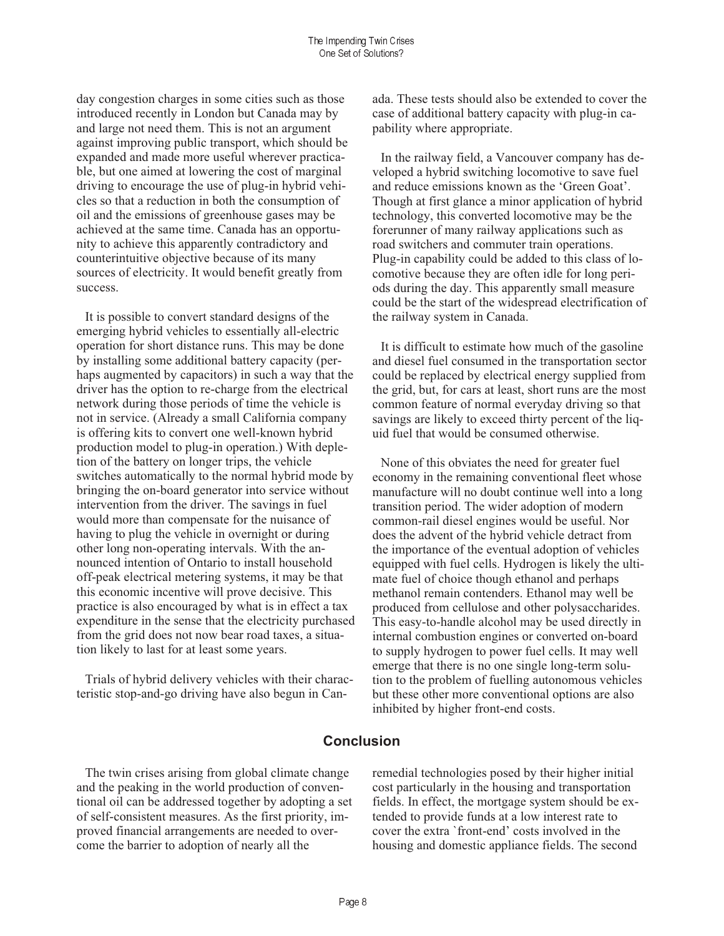day congestion charges in some cities such as those introduced recently in London but Canada may by and large not need them. This is not an argument against improving public transport, which should be expanded and made more useful wherever practicable, but one aimed at lowering the cost of marginal driving to encourage the use of plug-in hybrid vehicles so that a reduction in both the consumption of oil and the emissions of greenhouse gases may be achieved at the same time. Canada has an opportunity to achieve this apparently contradictory and counterintuitive objective because of its many sources of electricity. It would benefit greatly from success.

It is possible to convert standard designs of the emerging hybrid vehicles to essentially all-electric operation for short distance runs. This may be done by installing some additional battery capacity (perhaps augmented by capacitors) in such a way that the driver has the option to re-charge from the electrical network during those periods of time the vehicle is not in service. (Already a small California company is offering kits to convert one well-known hybrid production model to plug-in operation.) With depletion of the battery on longer trips, the vehicle switches automatically to the normal hybrid mode by bringing the on-board generator into service without intervention from the driver. The savings in fuel would more than compensate for the nuisance of having to plug the vehicle in overnight or during other long non-operating intervals. With the announced intention of Ontario to install household off-peak electrical metering systems, it may be that this economic incentive will prove decisive. This practice is also encouraged by what is in effect a tax expenditure in the sense that the electricity purchased from the grid does not now bear road taxes, a situation likely to last for at least some years.

Trials of hybrid delivery vehicles with their characteristic stop-and-go driving have also begun in Canada. These tests should also be extended to cover the case of additional battery capacity with plug-in capability where appropriate.

In the railway field, a Vancouver company has developed a hybrid switching locomotive to save fuel and reduce emissions known as the 'Green Goat'. Though at first glance a minor application of hybrid technology, this converted locomotive may be the forerunner of many railway applications such as road switchers and commuter train operations. Plug-in capability could be added to this class of locomotive because they are often idle for long periods during the day. This apparently small measure could be the start of the widespread electrification of the railway system in Canada.

It is difficult to estimate how much of the gasoline and diesel fuel consumed in the transportation sector could be replaced by electrical energy supplied from the grid, but, for cars at least, short runs are the most common feature of normal everyday driving so that savings are likely to exceed thirty percent of the liquid fuel that would be consumed otherwise.

None of this obviates the need for greater fuel economy in the remaining conventional fleet whose manufacture will no doubt continue well into a long transition period. The wider adoption of modern common-rail diesel engines would be useful. Nor does the advent of the hybrid vehicle detract from the importance of the eventual adoption of vehicles equipped with fuel cells. Hydrogen is likely the ultimate fuel of choice though ethanol and perhaps methanol remain contenders. Ethanol may well be produced from cellulose and other polysaccharides. This easy-to-handle alcohol may be used directly in internal combustion engines or converted on-board to supply hydrogen to power fuel cells. It may well emerge that there is no one single long-term solution to the problem of fuelling autonomous vehicles but these other more conventional options are also inhibited by higher front-end costs.

## **Conclusion**

The twin crises arising from global climate change and the peaking in the world production of conventional oil can be addressed together by adopting a set of self-consistent measures. As the first priority, improved financial arrangements are needed to overcome the barrier to adoption of nearly all the

remedial technologies posed by their higher initial cost particularly in the housing and transportation fields. In effect, the mortgage system should be extended to provide funds at a low interest rate to cover the extra 'front-end' costs involved in the housing and domestic appliance fields. The second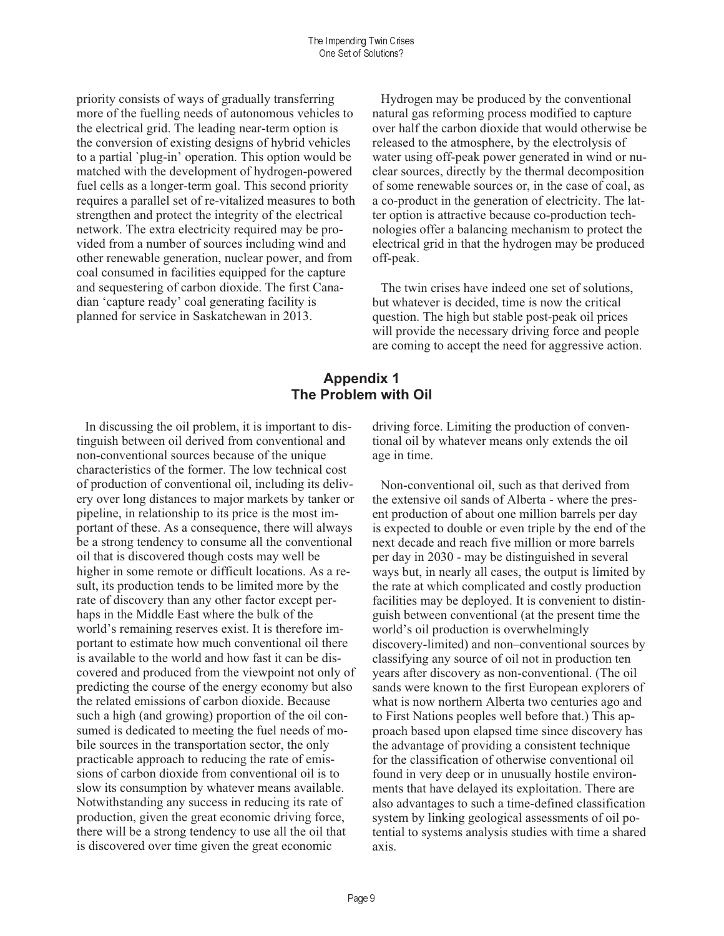priority consists of ways of gradually transferring more of the fuelling needs of autonomous vehicles to the electrical grid. The leading near-term option is the conversion of existing designs of hybrid vehicles to a partial 'plug-in' operation. This option would be matched with the development of hydrogen-powered fuel cells as a longer-term goal. This second priority requires a parallel set of re-vitalized measures to both strengthen and protect the integrity of the electrical network. The extra electricity required may be provided from a number of sources including wind and other renewable generation, nuclear power, and from coal consumed in facilities equipped for the capture and sequestering of carbon dioxide. The first Canadian 'capture ready' coal generating facility is planned for service in Saskatchewan in 2013.

Hydrogen may be produced by the conventional natural gas reforming process modified to capture over half the carbon dioxide that would otherwise be released to the atmosphere, by the electrolysis of water using off-peak power generated in wind or nuclear sources, directly by the thermal decomposition of some renewable sources or, in the case of coal, as a co-product in the generation of electricity. The latter option is attractive because co-production technologies offer a balancing mechanism to protect the electrical grid in that the hydrogen may be produced off-peak.

The twin crises have indeed one set of solutions, but whatever is decided, time is now the critical question. The high but stable post-peak oil prices will provide the necessary driving force and people are coming to accept the need for aggressive action.

# **Appendix 1** The Problem with Oil

In discussing the oil problem, it is important to distinguish between oil derived from conventional and non-conventional sources because of the unique characteristics of the former. The low technical cost of production of conventional oil, including its delivery over long distances to major markets by tanker or pipeline, in relationship to its price is the most important of these. As a consequence, there will always be a strong tendency to consume all the conventional oil that is discovered though costs may well be higher in some remote or difficult locations. As a result, its production tends to be limited more by the rate of discovery than any other factor except perhaps in the Middle East where the bulk of the world's remaining reserves exist. It is therefore important to estimate how much conventional oil there is available to the world and how fast it can be discovered and produced from the viewpoint not only of predicting the course of the energy economy but also the related emissions of carbon dioxide. Because such a high (and growing) proportion of the oil consumed is dedicated to meeting the fuel needs of mobile sources in the transportation sector, the only practicable approach to reducing the rate of emissions of carbon dioxide from conventional oil is to slow its consumption by whatever means available. Notwithstanding any success in reducing its rate of production, given the great economic driving force, there will be a strong tendency to use all the oil that is discovered over time given the great economic

driving force. Limiting the production of conventional oil by whatever means only extends the oil age in time.

Non-conventional oil, such as that derived from the extensive oil sands of Alberta - where the present production of about one million barrels per day is expected to double or even triple by the end of the next decade and reach five million or more barrels per day in 2030 - may be distinguished in several ways but, in nearly all cases, the output is limited by the rate at which complicated and costly production facilities may be deployed. It is convenient to distinguish between conventional (at the present time the world's oil production is overwhelmingly discovery-limited) and non-conventional sources by classifying any source of oil not in production ten years after discovery as non-conventional. (The oil sands were known to the first European explorers of what is now northern Alberta two centuries ago and to First Nations peoples well before that.) This approach based upon elapsed time since discovery has the advantage of providing a consistent technique for the classification of otherwise conventional oil found in very deep or in unusually hostile environments that have delayed its exploitation. There are also advantages to such a time-defined classification system by linking geological assessments of oil potential to systems analysis studies with time a shared axis.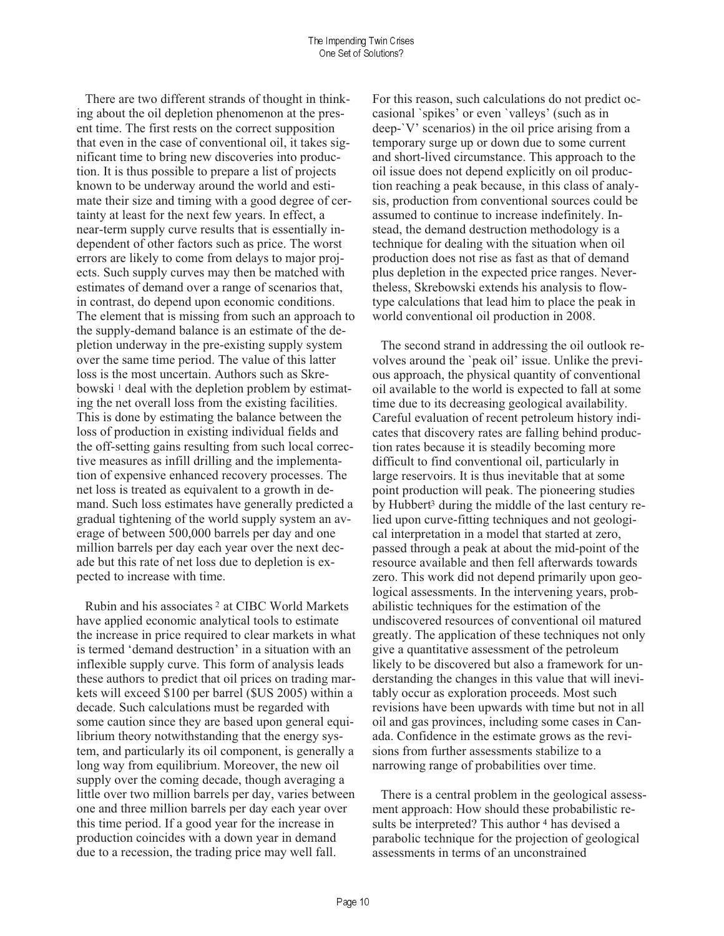There are two different strands of thought in thinking about the oil depletion phenomenon at the present time. The first rests on the correct supposition that even in the case of conventional oil, it takes significant time to bring new discoveries into production. It is thus possible to prepare a list of projects known to be underway around the world and estimate their size and timing with a good degree of certainty at least for the next few years. In effect, a near-term supply curve results that is essentially independent of other factors such as price. The worst errors are likely to come from delays to major projects. Such supply curves may then be matched with estimates of demand over a range of scenarios that, in contrast, do depend upon economic conditions. The element that is missing from such an approach to the supply-demand balance is an estimate of the depletion underway in the pre-existing supply system over the same time period. The value of this latter loss is the most uncertain. Authors such as Skrebowski<sup>1</sup> deal with the depletion problem by estimating the net overall loss from the existing facilities. This is done by estimating the balance between the loss of production in existing individual fields and the off-setting gains resulting from such local corrective measures as infill drilling and the implementation of expensive enhanced recovery processes. The net loss is treated as equivalent to a growth in demand. Such loss estimates have generally predicted a gradual tightening of the world supply system an average of between 500,000 barrels per day and one million barrels per day each year over the next decade but this rate of net loss due to depletion is expected to increase with time.

Rubin and his associates <sup>2</sup> at CIBC World Markets have applied economic analytical tools to estimate the increase in price required to clear markets in what is termed 'demand destruction' in a situation with an inflexible supply curve. This form of analysis leads these authors to predict that oil prices on trading markets will exceed \$100 per barrel (\$US 2005) within a decade. Such calculations must be regarded with some caution since they are based upon general equilibrium theory notwithstanding that the energy system, and particularly its oil component, is generally a long way from equilibrium. Moreover, the new oil supply over the coming decade, though averaging a little over two million barrels per day, varies between one and three million barrels per day each year over this time period. If a good year for the increase in production coincides with a down year in demand due to a recession, the trading price may well fall.

For this reason, such calculations do not predict occasional 'spikes' or even 'valleys' (such as in deep-'V' scenarios) in the oil price arising from a temporary surge up or down due to some current and short-lived circumstance. This approach to the oil issue does not depend explicitly on oil production reaching a peak because, in this class of analysis, production from conventional sources could be assumed to continue to increase indefinitely. Instead, the demand destruction methodology is a technique for dealing with the situation when oil production does not rise as fast as that of demand plus depletion in the expected price ranges. Nevertheless, Skrebowski extends his analysis to flowtype calculations that lead him to place the peak in world conventional oil production in 2008.

The second strand in addressing the oil outlook revolves around the 'peak oil' issue. Unlike the previous approach, the physical quantity of conventional oil available to the world is expected to fall at some time due to its decreasing geological availability. Careful evaluation of recent petroleum history indicates that discovery rates are falling behind production rates because it is steadily becoming more difficult to find conventional oil, particularly in large reservoirs. It is thus inevitable that at some point production will peak. The pioneering studies by Hubbert<sup>3</sup> during the middle of the last century relied upon curve-fitting techniques and not geological interpretation in a model that started at zero, passed through a peak at about the mid-point of the resource available and then fell afterwards towards zero. This work did not depend primarily upon geological assessments. In the intervening years, probabilistic techniques for the estimation of the undiscovered resources of conventional oil matured greatly. The application of these techniques not only give a quantitative assessment of the petroleum likely to be discovered but also a framework for understanding the changes in this value that will inevitably occur as exploration proceeds. Most such revisions have been upwards with time but not in all oil and gas provinces, including some cases in Canada. Confidence in the estimate grows as the revisions from further assessments stabilize to a narrowing range of probabilities over time.

There is a central problem in the geological assessment approach: How should these probabilistic results be interpreted? This author 4 has devised a parabolic technique for the projection of geological assessments in terms of an unconstrained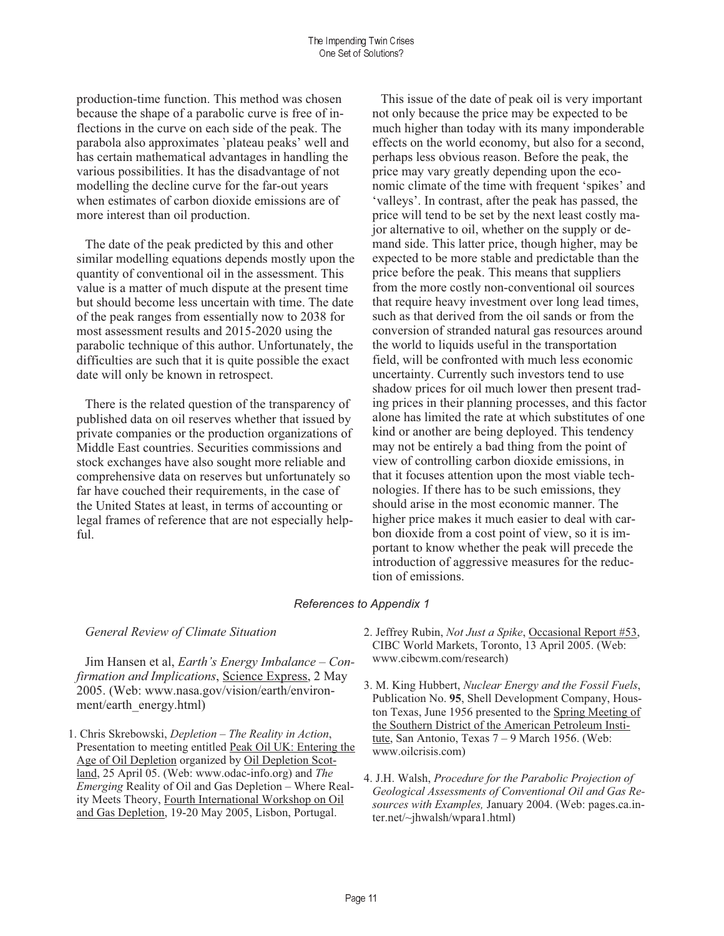production-time function. This method was chosen because the shape of a parabolic curve is free of inflections in the curve on each side of the peak. The parabola also approximates 'plateau peaks' well and has certain mathematical advantages in handling the various possibilities. It has the disadvantage of not modelling the decline curve for the far-out years when estimates of carbon dioxide emissions are of more interest than oil production.

The date of the peak predicted by this and other similar modelling equations depends mostly upon the quantity of conventional oil in the assessment. This value is a matter of much dispute at the present time but should become less uncertain with time. The date of the peak ranges from essentially now to 2038 for most assessment results and 2015-2020 using the parabolic technique of this author. Unfortunately, the difficulties are such that it is quite possible the exact date will only be known in retrospect.

There is the related question of the transparency of published data on oil reserves whether that issued by private companies or the production organizations of Middle East countries. Securities commissions and stock exchanges have also sought more reliable and comprehensive data on reserves but unfortunately so far have couched their requirements, in the case of the United States at least, in terms of accounting or legal frames of reference that are not especially helpful.

This issue of the date of peak oil is very important not only because the price may be expected to be much higher than today with its many imponderable effects on the world economy, but also for a second, perhaps less obvious reason. Before the peak, the price may vary greatly depending upon the economic climate of the time with frequent 'spikes' and 'valleys'. In contrast, after the peak has passed, the price will tend to be set by the next least costly major alternative to oil, whether on the supply or demand side. This latter price, though higher, may be expected to be more stable and predictable than the price before the peak. This means that suppliers from the more costly non-conventional oil sources that require heavy investment over long lead times, such as that derived from the oil sands or from the conversion of stranded natural gas resources around the world to liquids useful in the transportation field, will be confronted with much less economic uncertainty. Currently such investors tend to use shadow prices for oil much lower then present trading prices in their planning processes, and this factor alone has limited the rate at which substitutes of one kind or another are being deployed. This tendency may not be entirely a bad thing from the point of view of controlling carbon dioxide emissions, in that it focuses attention upon the most viable technologies. If there has to be such emissions, they should arise in the most economic manner. The higher price makes it much easier to deal with carbon dioxide from a cost point of view, so it is important to know whether the peak will precede the introduction of aggressive measures for the reduction of emissions.

#### *References to Appendix 1*

#### General Review of Climate Situation

Jim Hansen et al, Earth's Energy Imbalance - Confirmation and Implications, Science Express, 2 May 2005. (Web: www.nasa.gov/vision/earth/environment/earth\_energy.html)

- 1. Chris Skrebowski, *Depletion The Reality in Action*, Presentation to meeting entitled Peak Oil UK: Entering the Age of Oil Depletion organized by Oil Depletion Scotland, 25 April 05. (Web: www.odac-info.org) and *The Emerging* Reality of Oil and Gas Depletion – Where Reality Meets Theory, Fourth International Workshop on Oil and Gas Depletion, 19-20 May 2005, Lisbon, Portugal.
- 2. Jeffrey Rubin, *Not Just a Spike*, Occasional Report #53, CIBC World Markets, Toronto, 13 April 2005. (Web: www.cibcwm.com/research)
- 3. M. King Hubbert, *Nuclear Energy and the Fossil Fuels*, Publication No. **95**, Shell Development Company, Houston Texas, June 1956 presented to the Spring Meeting of the Southern District of the American Petroleum Institute, San Antonio, Texas  $7-9$  March 1956. (Web: www.oilcrisis.com)
- 4. J.H. Walsh, *Procedure for the Parabolic Projection of Geological Assessments of Conventional Oil and Gas Resources with Examples,* January 2004. (Web: pages.ca.inter.net/~jhwalsh/wpara1.html)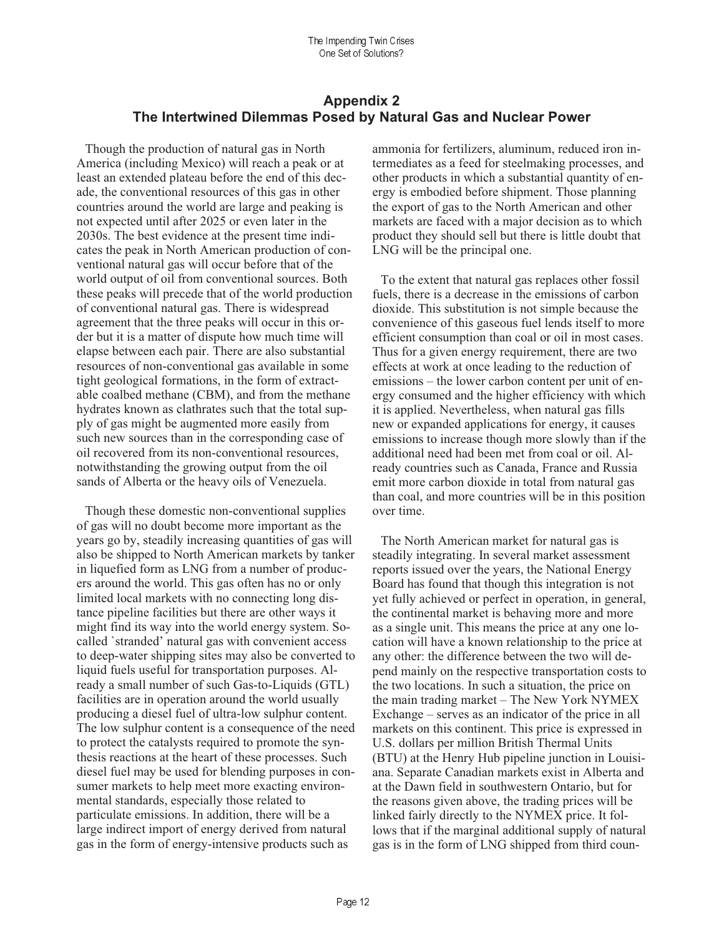### **Appendix 2** The Intertwined Dilemmas Posed by Natural Gas and Nuclear Power

Though the production of natural gas in North America (including Mexico) will reach a peak or at least an extended plateau before the end of this decade, the conventional resources of this gas in other countries around the world are large and peaking is not expected until after 2025 or even later in the 2030s. The best evidence at the present time indicates the peak in North American production of conventional natural gas will occur before that of the world output of oil from conventional sources. Both these peaks will precede that of the world production of conventional natural gas. There is widespread agreement that the three peaks will occur in this order but it is a matter of dispute how much time will elapse between each pair. There are also substantial resources of non-conventional gas available in some tight geological formations, in the form of extractable coalbed methane (CBM), and from the methane hydrates known as clathrates such that the total supply of gas might be augmented more easily from such new sources than in the corresponding case of oil recovered from its non-conventional resources. notwithstanding the growing output from the oil sands of Alberta or the heavy oils of Venezuela.

Though these domestic non-conventional supplies of gas will no doubt become more important as the years go by, steadily increasing quantities of gas will also be shipped to North American markets by tanker in liquefied form as LNG from a number of producers around the world. This gas often has no or only limited local markets with no connecting long distance pipeline facilities but there are other ways it might find its way into the world energy system. Socalled 'stranded' natural gas with convenient access to deep-water shipping sites may also be converted to liquid fuels useful for transportation purposes. Already a small number of such Gas-to-Liquids (GTL) facilities are in operation around the world usually producing a diesel fuel of ultra-low sulphur content. The low sulphur content is a consequence of the need to protect the catalysts required to promote the synthesis reactions at the heart of these processes. Such diesel fuel may be used for blending purposes in consumer markets to help meet more exacting environmental standards, especially those related to particulate emissions. In addition, there will be a large indirect import of energy derived from natural gas in the form of energy-intensive products such as

ammonia for fertilizers, aluminum, reduced iron intermediates as a feed for steelmaking processes, and other products in which a substantial quantity of energy is embodied before shipment. Those planning the export of gas to the North American and other markets are faced with a major decision as to which product they should sell but there is little doubt that LNG will be the principal one.

To the extent that natural gas replaces other fossil fuels, there is a decrease in the emissions of carbon dioxide. This substitution is not simple because the convenience of this gaseous fuel lends itself to more efficient consumption than coal or oil in most cases. Thus for a given energy requirement, there are two effects at work at once leading to the reduction of emissions – the lower carbon content per unit of energy consumed and the higher efficiency with which it is applied. Nevertheless, when natural gas fills new or expanded applications for energy, it causes emissions to increase though more slowly than if the additional need had been met from coal or oil. Already countries such as Canada, France and Russia emit more carbon dioxide in total from natural gas than coal, and more countries will be in this position over time.

The North American market for natural gas is steadily integrating. In several market assessment reports issued over the years, the National Energy Board has found that though this integration is not yet fully achieved or perfect in operation, in general, the continental market is behaving more and more as a single unit. This means the price at any one location will have a known relationship to the price at any other: the difference between the two will depend mainly on the respective transportation costs to the two locations. In such a situation, the price on the main trading market – The New York NYMEX Exchange  $-$  serves as an indicator of the price in all markets on this continent. This price is expressed in U.S. dollars per million British Thermal Units (BTU) at the Henry Hub pipeline junction in Louisiana. Separate Canadian markets exist in Alberta and at the Dawn field in southwestern Ontario, but for the reasons given above, the trading prices will be linked fairly directly to the NYMEX price. It follows that if the marginal additional supply of natural gas is in the form of LNG shipped from third coun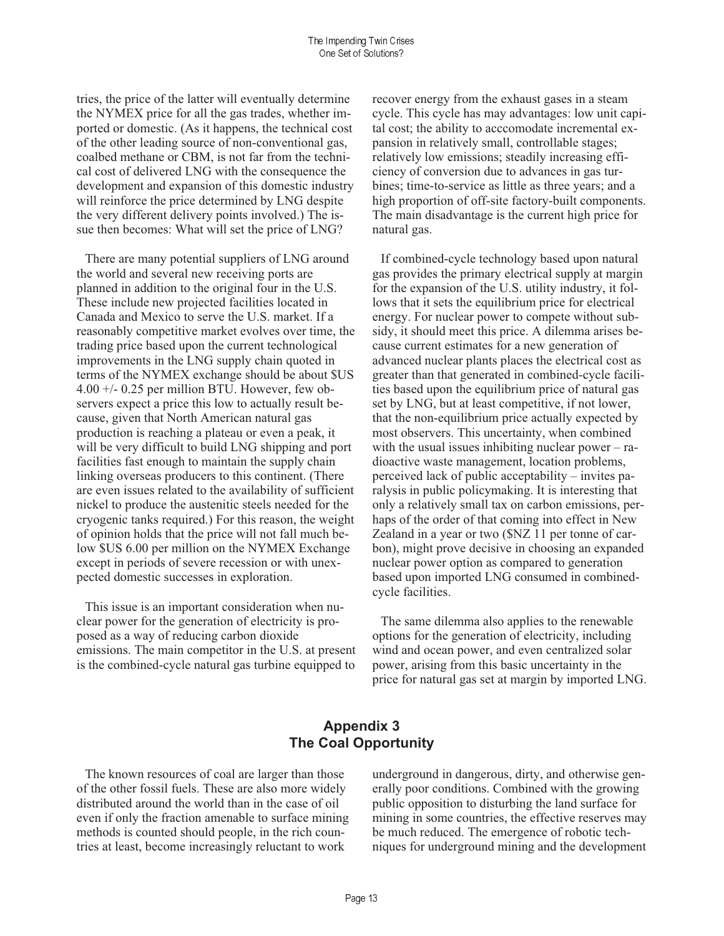tries, the price of the latter will eventually determine the NYMEX price for all the gas trades, whether imported or domestic. (As it happens, the technical cost of the other leading source of non-conventional gas, coalbed methane or CBM, is not far from the technical cost of delivered LNG with the consequence the development and expansion of this domestic industry will reinforce the price determined by LNG despite the very different delivery points involved.) The issue then becomes: What will set the price of LNG?

There are many potential suppliers of LNG around the world and several new receiving ports are planned in addition to the original four in the U.S. These include new projected facilities located in Canada and Mexico to serve the U.S. market. If a reasonably competitive market evolves over time, the trading price based upon the current technological improvements in the LNG supply chain quoted in terms of the NYMEX exchange should be about \$US  $4.00 + -0.25$  per million BTU. However, few observers expect a price this low to actually result because, given that North American natural gas production is reaching a plateau or even a peak, it will be very difficult to build LNG shipping and port facilities fast enough to maintain the supply chain linking overseas producers to this continent. (There are even issues related to the availability of sufficient nickel to produce the austenitic steels needed for the cryogenic tanks required.) For this reason, the weight of opinion holds that the price will not fall much below SUS 6.00 per million on the NYMEX Exchange except in periods of severe recession or with unexpected domestic successes in exploration.

This issue is an important consideration when nuclear power for the generation of electricity is proposed as a way of reducing carbon dioxide emissions. The main competitor in the U.S. at present is the combined-cycle natural gas turbine equipped to

recover energy from the exhaust gases in a steam cycle. This cycle has may advantages: low unit capital cost; the ability to acccomodate incremental expansion in relatively small, controllable stages; relatively low emissions; steadily increasing efficiency of conversion due to advances in gas turbines; time-to-service as little as three years; and a high proportion of off-site factory-built components. The main disadvantage is the current high price for natural gas.

If combined-cycle technology based upon natural gas provides the primary electrical supply at margin for the expansion of the U.S. utility industry, it follows that it sets the equilibrium price for electrical energy. For nuclear power to compete without subsidy, it should meet this price. A dilemma arises because current estimates for a new generation of advanced nuclear plants places the electrical cost as greater than that generated in combined-cycle facilities based upon the equilibrium price of natural gas set by LNG, but at least competitive, if not lower, that the non-equilibrium price actually expected by most observers. This uncertainty, when combined with the usual issues inhibiting nuclear power  $-$  radioactive waste management, location problems, perceived lack of public acceptability – invites paralysis in public policymaking. It is interesting that only a relatively small tax on carbon emissions, perhaps of the order of that coming into effect in New Zealand in a year or two (\$NZ 11 per tonne of carbon), might prove decisive in choosing an expanded nuclear power option as compared to generation based upon imported LNG consumed in combinedcycle facilities.

The same dilemma also applies to the renewable options for the generation of electricity, including wind and ocean power, and even centralized solar power, arising from this basic uncertainty in the price for natural gas set at margin by imported LNG.

### **Appendix 3 The Coal Opportunity**

The known resources of coal are larger than those of the other fossil fuels. These are also more widely distributed around the world than in the case of oil even if only the fraction amenable to surface mining methods is counted should people, in the rich countries at least, become increasingly reluctant to work

underground in dangerous, dirty, and otherwise generally poor conditions. Combined with the growing public opposition to disturbing the land surface for mining in some countries, the effective reserves may be much reduced. The emergence of robotic techniques for underground mining and the development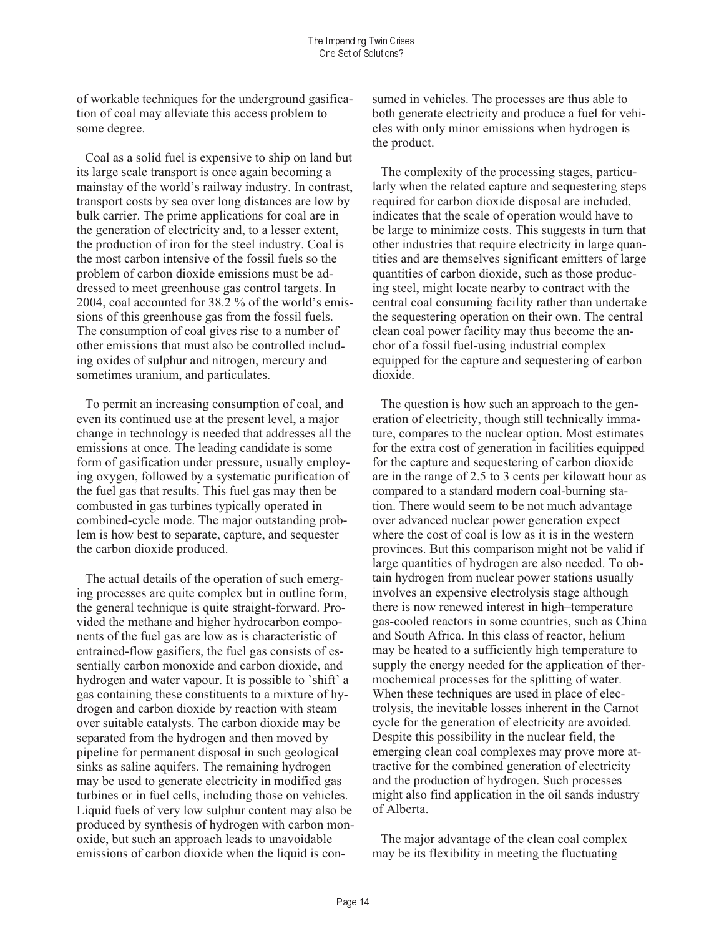of workable techniques for the underground gasification of coal may alleviate this access problem to some degree.

Coal as a solid fuel is expensive to ship on land but its large scale transport is once again becoming a mainstay of the world's railway industry. In contrast, transport costs by sea over long distances are low by bulk carrier. The prime applications for coal are in the generation of electricity and, to a lesser extent, the production of iron for the steel industry. Coal is the most carbon intensive of the fossil fuels so the problem of carbon dioxide emissions must be addressed to meet greenhouse gas control targets. In 2004, coal accounted for 38.2 % of the world's emissions of this greenhouse gas from the fossil fuels. The consumption of coal gives rise to a number of other emissions that must also be controlled including oxides of sulphur and nitrogen, mercury and sometimes uranium, and particulates.

To permit an increasing consumption of coal, and even its continued use at the present level, a major change in technology is needed that addresses all the emissions at once. The leading candidate is some form of gasification under pressure, usually employing oxygen, followed by a systematic purification of the fuel gas that results. This fuel gas may then be combusted in gas turbines typically operated in combined-cycle mode. The major outstanding problem is how best to separate, capture, and sequester the carbon dioxide produced.

The actual details of the operation of such emerging processes are quite complex but in outline form, the general technique is quite straight-forward. Provided the methane and higher hydrocarbon components of the fuel gas are low as is characteristic of entrained-flow gasifiers, the fuel gas consists of essentially carbon monoxide and carbon dioxide, and hydrogen and water vapour. It is possible to `shift' a gas containing these constituents to a mixture of hydrogen and carbon dioxide by reaction with steam over suitable catalysts. The carbon dioxide may be separated from the hydrogen and then moved by pipeline for permanent disposal in such geological sinks as saline aquifers. The remaining hydrogen may be used to generate electricity in modified gas turbines or in fuel cells, including those on vehicles. Liquid fuels of very low sulphur content may also be produced by synthesis of hydrogen with carbon monoxide, but such an approach leads to unavoidable emissions of carbon dioxide when the liquid is consumed in vehicles. The processes are thus able to both generate electricity and produce a fuel for vehicles with only minor emissions when hydrogen is the product.

The complexity of the processing stages, particularly when the related capture and sequestering steps required for carbon dioxide disposal are included, indicates that the scale of operation would have to be large to minimize costs. This suggests in turn that other industries that require electricity in large quantities and are themselves significant emitters of large quantities of carbon dioxide, such as those producing steel, might locate nearby to contract with the central coal consuming facility rather than undertake the sequestering operation on their own. The central clean coal power facility may thus become the anchor of a fossil fuel-using industrial complex equipped for the capture and sequestering of carbon dioxide.

The question is how such an approach to the generation of electricity, though still technically immature, compares to the nuclear option. Most estimates for the extra cost of generation in facilities equipped for the capture and sequestering of carbon dioxide are in the range of 2.5 to 3 cents per kilowatt hour as compared to a standard modern coal-burning station. There would seem to be not much advantage over advanced nuclear power generation expect where the cost of coal is low as it is in the western provinces. But this comparison might not be valid if large quantities of hydrogen are also needed. To obtain hydrogen from nuclear power stations usually involves an expensive electrolysis stage although there is now renewed interest in high-temperature gas-cooled reactors in some countries, such as China and South Africa. In this class of reactor, helium may be heated to a sufficiently high temperature to supply the energy needed for the application of thermochemical processes for the splitting of water. When these techniques are used in place of electrolysis, the inevitable losses inherent in the Carnot cycle for the generation of electricity are avoided. Despite this possibility in the nuclear field, the emerging clean coal complexes may prove more attractive for the combined generation of electricity and the production of hydrogen. Such processes might also find application in the oil sands industry of Alberta.

The major advantage of the clean coal complex may be its flexibility in meeting the fluctuating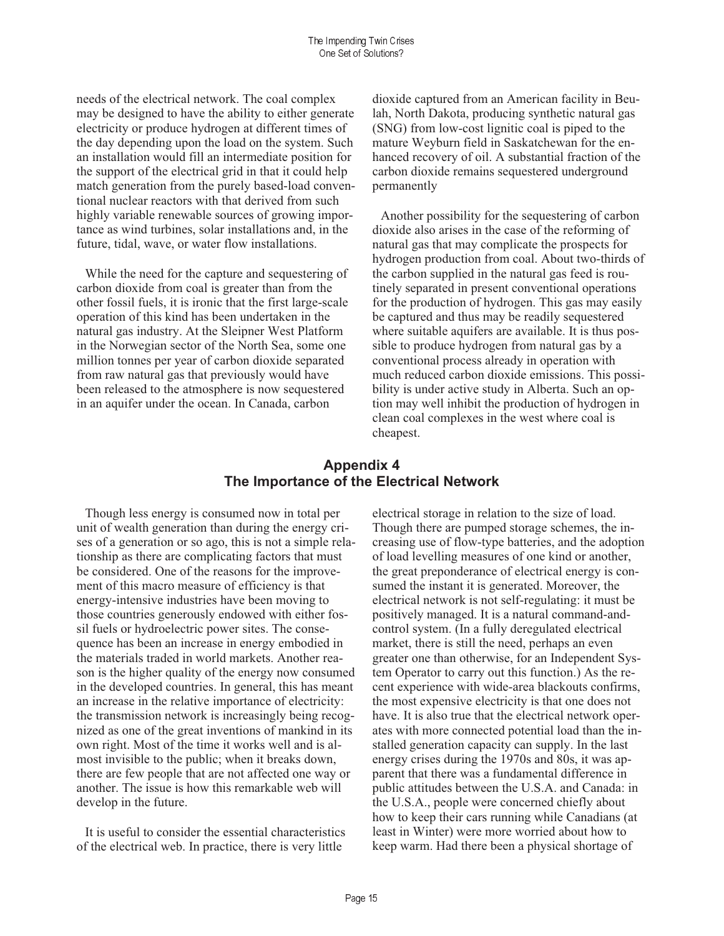needs of the electrical network. The coal complex may be designed to have the ability to either generate electricity or produce hydrogen at different times of the day depending upon the load on the system. Such an installation would fill an intermediate position for the support of the electrical grid in that it could help match generation from the purely based-load conventional nuclear reactors with that derived from such highly variable renewable sources of growing importance as wind turbines, solar installations and, in the future, tidal, wave, or water flow installations.

While the need for the capture and sequestering of carbon dioxide from coal is greater than from the other fossil fuels, it is ironic that the first large-scale operation of this kind has been undertaken in the natural gas industry. At the Sleipner West Platform in the Norwegian sector of the North Sea, some one million tonnes per year of carbon dioxide separated from raw natural gas that previously would have been released to the atmosphere is now sequestered in an aquifer under the ocean. In Canada, carbon

dioxide captured from an American facility in Beulah, North Dakota, producing synthetic natural gas (SNG) from low-cost lignitic coal is piped to the mature Weyburn field in Saskatchewan for the enhanced recovery of oil. A substantial fraction of the carbon dioxide remains sequestered underground permanently

Another possibility for the sequestering of carbon dioxide also arises in the case of the reforming of natural gas that may complicate the prospects for hydrogen production from coal. About two-thirds of the carbon supplied in the natural gas feed is routinely separated in present conventional operations for the production of hydrogen. This gas may easily be captured and thus may be readily sequestered where suitable aquifers are available. It is thus possible to produce hydrogen from natural gas by a conventional process already in operation with much reduced carbon dioxide emissions. This possibility is under active study in Alberta. Such an option may well inhibit the production of hydrogen in clean coal complexes in the west where coal is cheapest.

# **Appendix 4** The Importance of the Electrical Network

Though less energy is consumed now in total per unit of wealth generation than during the energy crises of a generation or so ago, this is not a simple relationship as there are complicating factors that must be considered. One of the reasons for the improvement of this macro measure of efficiency is that energy-intensive industries have been moving to those countries generously endowed with either fossil fuels or hydroelectric power sites. The consequence has been an increase in energy embodied in the materials traded in world markets. Another reason is the higher quality of the energy now consumed in the developed countries. In general, this has meant an increase in the relative importance of electricity: the transmission network is increasingly being recognized as one of the great inventions of mankind in its own right. Most of the time it works well and is almost invisible to the public; when it breaks down, there are few people that are not affected one way or another. The issue is how this remarkable web will develop in the future.

It is useful to consider the essential characteristics of the electrical web. In practice, there is very little

electrical storage in relation to the size of load. Though there are pumped storage schemes, the increasing use of flow-type batteries, and the adoption of load levelling measures of one kind or another, the great preponderance of electrical energy is consumed the instant it is generated. Moreover, the electrical network is not self-regulating: it must be positively managed. It is a natural command-andcontrol system. (In a fully deregulated electrical market, there is still the need, perhaps an even greater one than otherwise, for an Independent System Operator to carry out this function.) As the recent experience with wide-area blackouts confirms, the most expensive electricity is that one does not have. It is also true that the electrical network operates with more connected potential load than the installed generation capacity can supply. In the last energy crises during the 1970s and 80s, it was apparent that there was a fundamental difference in public attitudes between the U.S.A. and Canada: in the U.S.A., people were concerned chiefly about how to keep their cars running while Canadians (at least in Winter) were more worried about how to keep warm. Had there been a physical shortage of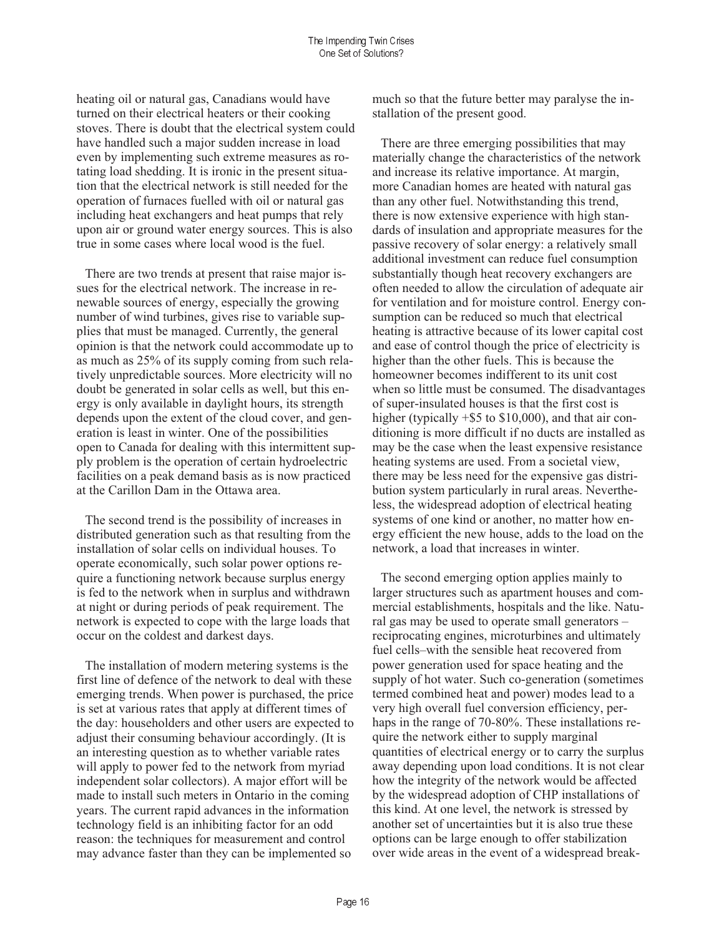heating oil or natural gas, Canadians would have turned on their electrical heaters or their cooking stoves. There is doubt that the electrical system could have handled such a major sudden increase in load even by implementing such extreme measures as rotating load shedding. It is ironic in the present situation that the electrical network is still needed for the operation of furnaces fuelled with oil or natural gas including heat exchangers and heat pumps that rely upon air or ground water energy sources. This is also true in some cases where local wood is the fuel.

There are two trends at present that raise major issues for the electrical network. The increase in renewable sources of energy, especially the growing number of wind turbines, gives rise to variable supplies that must be managed. Currently, the general opinion is that the network could accommodate up to as much as 25% of its supply coming from such relatively unpredictable sources. More electricity will no doubt be generated in solar cells as well, but this energy is only available in daylight hours, its strength depends upon the extent of the cloud cover, and generation is least in winter. One of the possibilities open to Canada for dealing with this intermittent supply problem is the operation of certain hydroelectric facilities on a peak demand basis as is now practiced at the Carillon Dam in the Ottawa area.

The second trend is the possibility of increases in distributed generation such as that resulting from the installation of solar cells on individual houses. To operate economically, such solar power options require a functioning network because surplus energy is fed to the network when in surplus and withdrawn at night or during periods of peak requirement. The network is expected to cope with the large loads that occur on the coldest and darkest days.

The installation of modern metering systems is the first line of defence of the network to deal with these emerging trends. When power is purchased, the price is set at various rates that apply at different times of the day: householders and other users are expected to adjust their consuming behaviour accordingly. (It is an interesting question as to whether variable rates will apply to power fed to the network from myriad independent solar collectors). A major effort will be made to install such meters in Ontario in the coming years. The current rapid advances in the information technology field is an inhibiting factor for an odd reason: the techniques for measurement and control may advance faster than they can be implemented so

much so that the future better may paralyse the installation of the present good.

There are three emerging possibilities that may materially change the characteristics of the network and increase its relative importance. At margin, more Canadian homes are heated with natural gas than any other fuel. Notwithstanding this trend, there is now extensive experience with high standards of insulation and appropriate measures for the passive recovery of solar energy: a relatively small additional investment can reduce fuel consumption substantially though heat recovery exchangers are often needed to allow the circulation of adequate air for ventilation and for moisture control. Energy consumption can be reduced so much that electrical heating is attractive because of its lower capital cost and ease of control though the price of electricity is higher than the other fuels. This is because the homeowner becomes indifferent to its unit cost when so little must be consumed. The disadvantages of super-insulated houses is that the first cost is higher (typically  $+$ \$5 to \$10,000), and that air conditioning is more difficult if no ducts are installed as may be the case when the least expensive resistance heating systems are used. From a societal view, there may be less need for the expensive gas distribution system particularly in rural areas. Nevertheless, the widespread adoption of electrical heating systems of one kind or another, no matter how energy efficient the new house, adds to the load on the network, a load that increases in winter.

The second emerging option applies mainly to larger structures such as apartment houses and commercial establishments, hospitals and the like. Natural gas may be used to operate small generators reciprocating engines, microturbines and ultimately fuel cells-with the sensible heat recovered from power generation used for space heating and the supply of hot water. Such co-generation (sometimes) termed combined heat and power) modes lead to a very high overall fuel conversion efficiency, perhaps in the range of 70-80%. These installations require the network either to supply marginal quantities of electrical energy or to carry the surplus away depending upon load conditions. It is not clear how the integrity of the network would be affected by the widespread adoption of CHP installations of this kind. At one level, the network is stressed by another set of uncertainties but it is also true these options can be large enough to offer stabilization over wide areas in the event of a widespread break-